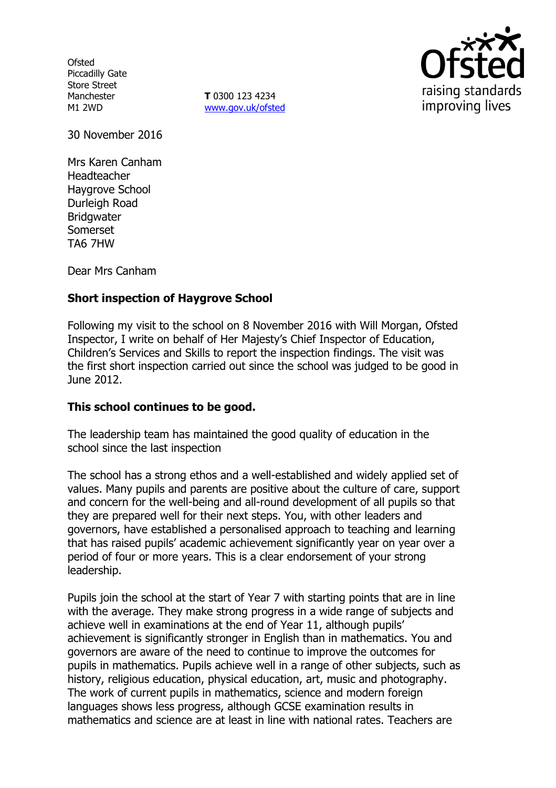**Ofsted** Piccadilly Gate Store Street Manchester M1 2WD

**T** 0300 123 4234 [www.gov.uk/ofsted](http://www.gov.uk/ofsted)



30 November 2016

Mrs Karen Canham Headteacher Haygrove School Durleigh Road **Bridgwater** Somerset TA6 7HW

Dear Mrs Canham

# **Short inspection of Haygrove School**

Following my visit to the school on 8 November 2016 with Will Morgan, Ofsted Inspector, I write on behalf of Her Majesty's Chief Inspector of Education, Children's Services and Skills to report the inspection findings. The visit was the first short inspection carried out since the school was judged to be good in June 2012.

### **This school continues to be good.**

The leadership team has maintained the good quality of education in the school since the last inspection

The school has a strong ethos and a well-established and widely applied set of values. Many pupils and parents are positive about the culture of care, support and concern for the well-being and all-round development of all pupils so that they are prepared well for their next steps. You, with other leaders and governors, have established a personalised approach to teaching and learning that has raised pupils' academic achievement significantly year on year over a period of four or more years. This is a clear endorsement of your strong leadership.

Pupils join the school at the start of Year 7 with starting points that are in line with the average. They make strong progress in a wide range of subjects and achieve well in examinations at the end of Year 11, although pupils' achievement is significantly stronger in English than in mathematics. You and governors are aware of the need to continue to improve the outcomes for pupils in mathematics. Pupils achieve well in a range of other subjects, such as history, religious education, physical education, art, music and photography. The work of current pupils in mathematics, science and modern foreign languages shows less progress, although GCSE examination results in mathematics and science are at least in line with national rates. Teachers are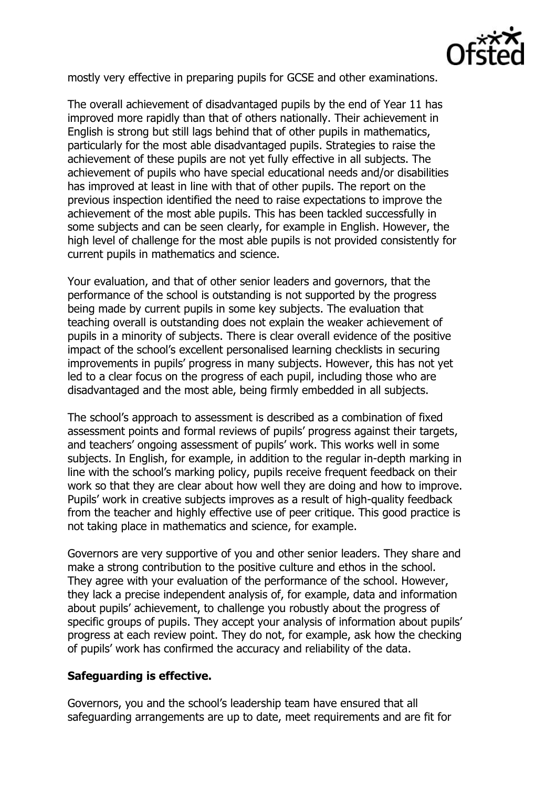

mostly very effective in preparing pupils for GCSE and other examinations.

The overall achievement of disadvantaged pupils by the end of Year 11 has improved more rapidly than that of others nationally. Their achievement in English is strong but still lags behind that of other pupils in mathematics, particularly for the most able disadvantaged pupils. Strategies to raise the achievement of these pupils are not yet fully effective in all subjects. The achievement of pupils who have special educational needs and/or disabilities has improved at least in line with that of other pupils. The report on the previous inspection identified the need to raise expectations to improve the achievement of the most able pupils. This has been tackled successfully in some subjects and can be seen clearly, for example in English. However, the high level of challenge for the most able pupils is not provided consistently for current pupils in mathematics and science.

Your evaluation, and that of other senior leaders and governors, that the performance of the school is outstanding is not supported by the progress being made by current pupils in some key subjects. The evaluation that teaching overall is outstanding does not explain the weaker achievement of pupils in a minority of subjects. There is clear overall evidence of the positive impact of the school's excellent personalised learning checklists in securing improvements in pupils' progress in many subjects. However, this has not yet led to a clear focus on the progress of each pupil, including those who are disadvantaged and the most able, being firmly embedded in all subjects.

The school's approach to assessment is described as a combination of fixed assessment points and formal reviews of pupils' progress against their targets, and teachers' ongoing assessment of pupils' work. This works well in some subjects. In English, for example, in addition to the regular in-depth marking in line with the school's marking policy, pupils receive frequent feedback on their work so that they are clear about how well they are doing and how to improve. Pupils' work in creative subjects improves as a result of high-quality feedback from the teacher and highly effective use of peer critique. This good practice is not taking place in mathematics and science, for example.

Governors are very supportive of you and other senior leaders. They share and make a strong contribution to the positive culture and ethos in the school. They agree with your evaluation of the performance of the school. However, they lack a precise independent analysis of, for example, data and information about pupils' achievement, to challenge you robustly about the progress of specific groups of pupils. They accept your analysis of information about pupils' progress at each review point. They do not, for example, ask how the checking of pupils' work has confirmed the accuracy and reliability of the data.

### **Safeguarding is effective.**

Governors, you and the school's leadership team have ensured that all safeguarding arrangements are up to date, meet requirements and are fit for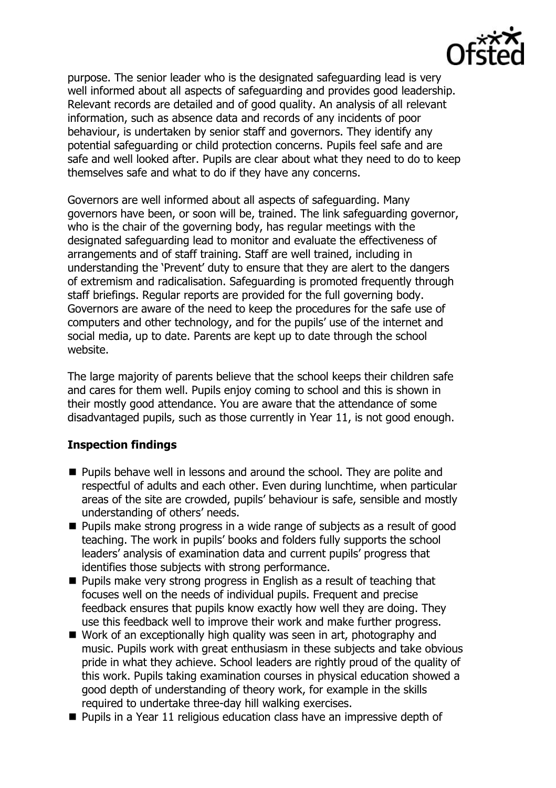

purpose. The senior leader who is the designated safeguarding lead is very well informed about all aspects of safeguarding and provides good leadership. Relevant records are detailed and of good quality. An analysis of all relevant information, such as absence data and records of any incidents of poor behaviour, is undertaken by senior staff and governors. They identify any potential safeguarding or child protection concerns. Pupils feel safe and are safe and well looked after. Pupils are clear about what they need to do to keep themselves safe and what to do if they have any concerns.

Governors are well informed about all aspects of safeguarding. Many governors have been, or soon will be, trained. The link safeguarding governor, who is the chair of the governing body, has regular meetings with the designated safeguarding lead to monitor and evaluate the effectiveness of arrangements and of staff training. Staff are well trained, including in understanding the 'Prevent' duty to ensure that they are alert to the dangers of extremism and radicalisation. Safeguarding is promoted frequently through staff briefings. Regular reports are provided for the full governing body. Governors are aware of the need to keep the procedures for the safe use of computers and other technology, and for the pupils' use of the internet and social media, up to date. Parents are kept up to date through the school website.

The large majority of parents believe that the school keeps their children safe and cares for them well. Pupils enjoy coming to school and this is shown in their mostly good attendance. You are aware that the attendance of some disadvantaged pupils, such as those currently in Year 11, is not good enough.

### **Inspection findings**

- Pupils behave well in lessons and around the school. They are polite and respectful of adults and each other. Even during lunchtime, when particular areas of the site are crowded, pupils' behaviour is safe, sensible and mostly understanding of others' needs.
- **Pupils make strong progress in a wide range of subjects as a result of good** teaching. The work in pupils' books and folders fully supports the school leaders' analysis of examination data and current pupils' progress that identifies those subjects with strong performance.
- $\blacksquare$  Pupils make very strong progress in English as a result of teaching that focuses well on the needs of individual pupils. Frequent and precise feedback ensures that pupils know exactly how well they are doing. They use this feedback well to improve their work and make further progress.
- Work of an exceptionally high quality was seen in art, photography and music. Pupils work with great enthusiasm in these subjects and take obvious pride in what they achieve. School leaders are rightly proud of the quality of this work. Pupils taking examination courses in physical education showed a good depth of understanding of theory work, for example in the skills required to undertake three-day hill walking exercises.
- $\blacksquare$  Pupils in a Year 11 religious education class have an impressive depth of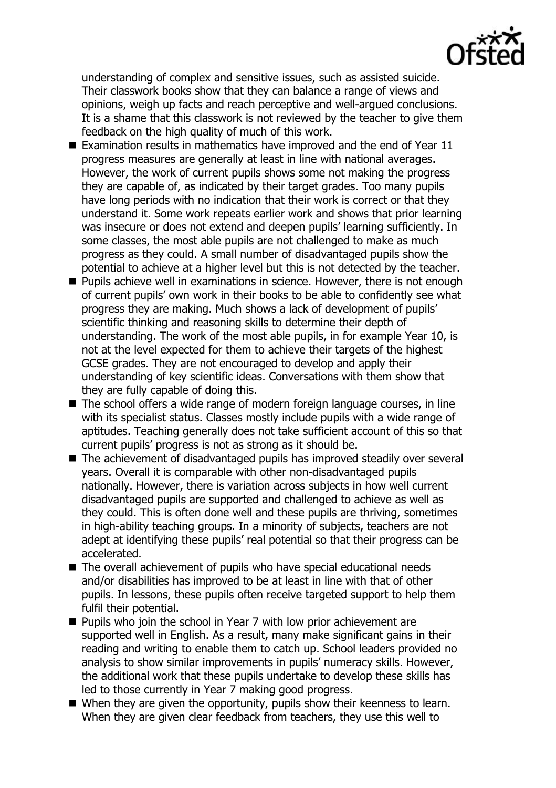

understanding of complex and sensitive issues, such as assisted suicide. Their classwork books show that they can balance a range of views and opinions, weigh up facts and reach perceptive and well-argued conclusions. It is a shame that this classwork is not reviewed by the teacher to give them feedback on the high quality of much of this work.

- Examination results in mathematics have improved and the end of Year  $11$ progress measures are generally at least in line with national averages. However, the work of current pupils shows some not making the progress they are capable of, as indicated by their target grades. Too many pupils have long periods with no indication that their work is correct or that they understand it. Some work repeats earlier work and shows that prior learning was insecure or does not extend and deepen pupils' learning sufficiently. In some classes, the most able pupils are not challenged to make as much progress as they could. A small number of disadvantaged pupils show the potential to achieve at a higher level but this is not detected by the teacher.
- **Pupils achieve well in examinations in science. However, there is not enough** of current pupils' own work in their books to be able to confidently see what progress they are making. Much shows a lack of development of pupils' scientific thinking and reasoning skills to determine their depth of understanding. The work of the most able pupils, in for example Year 10, is not at the level expected for them to achieve their targets of the highest GCSE grades. They are not encouraged to develop and apply their understanding of key scientific ideas. Conversations with them show that they are fully capable of doing this.
- The school offers a wide range of modern foreign language courses, in line with its specialist status. Classes mostly include pupils with a wide range of aptitudes. Teaching generally does not take sufficient account of this so that current pupils' progress is not as strong as it should be.
- The achievement of disadvantaged pupils has improved steadily over several years. Overall it is comparable with other non-disadvantaged pupils nationally. However, there is variation across subjects in how well current disadvantaged pupils are supported and challenged to achieve as well as they could. This is often done well and these pupils are thriving, sometimes in high-ability teaching groups. In a minority of subjects, teachers are not adept at identifying these pupils' real potential so that their progress can be accelerated.
- The overall achievement of pupils who have special educational needs and/or disabilities has improved to be at least in line with that of other pupils. In lessons, these pupils often receive targeted support to help them fulfil their potential.
- **Pupils who join the school in Year 7 with low prior achievement are** supported well in English. As a result, many make significant gains in their reading and writing to enable them to catch up. School leaders provided no analysis to show similar improvements in pupils' numeracy skills. However, the additional work that these pupils undertake to develop these skills has led to those currently in Year 7 making good progress.
- When they are given the opportunity, pupils show their keenness to learn. When they are given clear feedback from teachers, they use this well to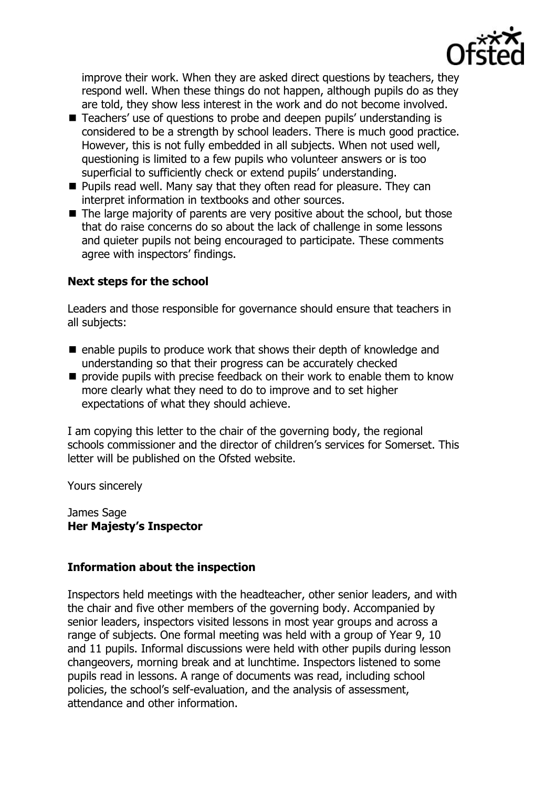

improve their work. When they are asked direct questions by teachers, they respond well. When these things do not happen, although pupils do as they are told, they show less interest in the work and do not become involved.

- Teachers' use of questions to probe and deepen pupils' understanding is considered to be a strength by school leaders. There is much good practice. However, this is not fully embedded in all subjects. When not used well, questioning is limited to a few pupils who volunteer answers or is too superficial to sufficiently check or extend pupils' understanding.
- **Pupils read well. Many say that they often read for pleasure. They can** interpret information in textbooks and other sources.
- $\blacksquare$  The large majority of parents are very positive about the school, but those that do raise concerns do so about the lack of challenge in some lessons and quieter pupils not being encouraged to participate. These comments agree with inspectors' findings.

## **Next steps for the school**

Leaders and those responsible for governance should ensure that teachers in all subjects:

- $\blacksquare$  enable pupils to produce work that shows their depth of knowledge and understanding so that their progress can be accurately checked
- $\blacksquare$  provide pupils with precise feedback on their work to enable them to know more clearly what they need to do to improve and to set higher expectations of what they should achieve.

I am copying this letter to the chair of the governing body, the regional schools commissioner and the director of children's services for Somerset. This letter will be published on the Ofsted website.

Yours sincerely

James Sage **Her Majesty's Inspector**

# **Information about the inspection**

Inspectors held meetings with the headteacher, other senior leaders, and with the chair and five other members of the governing body. Accompanied by senior leaders, inspectors visited lessons in most year groups and across a range of subjects. One formal meeting was held with a group of Year 9, 10 and 11 pupils. Informal discussions were held with other pupils during lesson changeovers, morning break and at lunchtime. Inspectors listened to some pupils read in lessons. A range of documents was read, including school policies, the school's self-evaluation, and the analysis of assessment, attendance and other information.